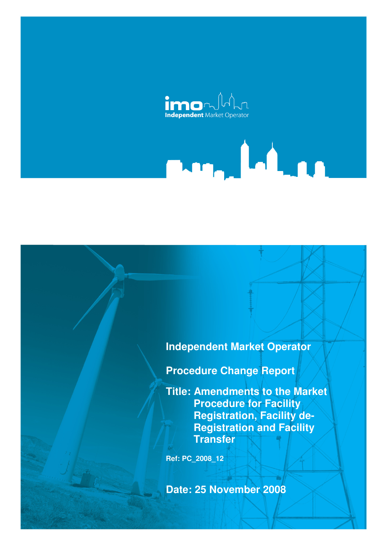

# **Independent Market Operator**

**Procedure Change Report** 

**Title: Amendments to the Market Procedure for Facility Registration, Facility de-Registration and Facility Transfer** 

**Ref: PC\_2008\_12** 

**Date: 25 November 2008**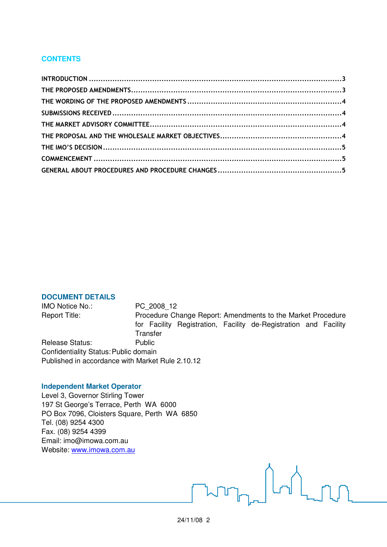# **CONTENTS**

#### **DOCUMENT DETAILS**

IMO Notice No.: PC\_2008\_12 Report Title: Procedure Change Report: Amendments to the Market Procedure for Facility Registration, Facility de-Registration and Facility **Transfer** Release Status: Public Confidentiality Status: Public domain Published in accordance with Market Rule 2.10.12

### **Independent Market Operator**

Level 3, Governor Stirling Tower 197 St George's Terrace, Perth WA 6000 PO Box 7096, Cloisters Square, Perth WA 6850 Tel. (08) 9254 4300 Fax. (08) 9254 4399 Email: imo@imowa.com.au Website: www.imowa.com.au

 $\bigcap$  nn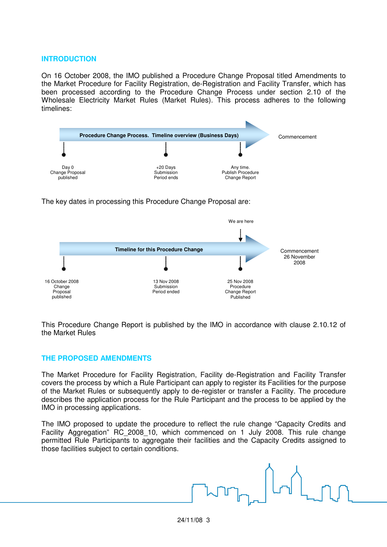#### **INTRODUCTION**

On 16 October 2008, the IMO published a Procedure Change Proposal titled Amendments to the Market Procedure for Facility Registration, de-Registration and Facility Transfer, which has been processed according to the Procedure Change Process under section 2.10 of the Wholesale Electricity Market Rules (Market Rules). This process adheres to the following timelines:



The key dates in processing this Procedure Change Proposal are:



This Procedure Change Report is published by the IMO in accordance with clause 2.10.12 of the Market Rules

# **THE PROPOSED AMENDMENTS**

The Market Procedure for Facility Registration, Facility de-Registration and Facility Transfer covers the process by which a Rule Participant can apply to register its Facilities for the purpose of the Market Rules or subsequently apply to de-register or transfer a Facility. The procedure describes the application process for the Rule Participant and the process to be applied by the IMO in processing applications.

The IMO proposed to update the procedure to reflect the rule change "Capacity Credits and Facility Aggregation" RC\_2008\_10, which commenced on 1 July 2008. This rule change permitted Rule Participants to aggregate their facilities and the Capacity Credits assigned to those facilities subject to certain conditions.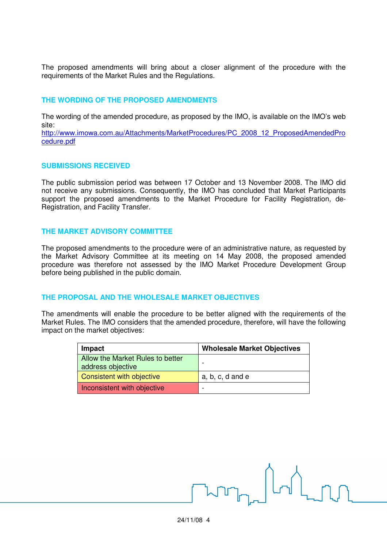The proposed amendments will bring about a closer alignment of the procedure with the requirements of the Market Rules and the Regulations.

## **THE WORDING OF THE PROPOSED AMENDMENTS**

The wording of the amended procedure, as proposed by the IMO, is available on the IMO's web site:

http://www.imowa.com.au/Attachments/MarketProcedures/PC\_2008\_12\_ProposedAmendedPro cedure.pdf

## **SUBMISSIONS RECEIVED**

The public submission period was between 17 October and 13 November 2008. The IMO did not receive any submissions. Consequently, the IMO has concluded that Market Participants support the proposed amendments to the Market Procedure for Facility Registration, de-Registration, and Facility Transfer.

## **THE MARKET ADVISORY COMMITTEE**

The proposed amendments to the procedure were of an administrative nature, as requested by the Market Advisory Committee at its meeting on 14 May 2008, the proposed amended procedure was therefore not assessed by the IMO Market Procedure Development Group before being published in the public domain.

#### **THE PROPOSAL AND THE WHOLESALE MARKET OBJECTIVES**

The amendments will enable the procedure to be better aligned with the requirements of the Market Rules. The IMO considers that the amended procedure, therefore, will have the following impact on the market objectives:

| Impact                                                | <b>Wholesale Market Objectives</b> |
|-------------------------------------------------------|------------------------------------|
| Allow the Market Rules to better<br>address objective |                                    |
| Consistent with objective                             | $a, b, c, d$ and $e$               |
| Inconsistent with objective                           |                                    |